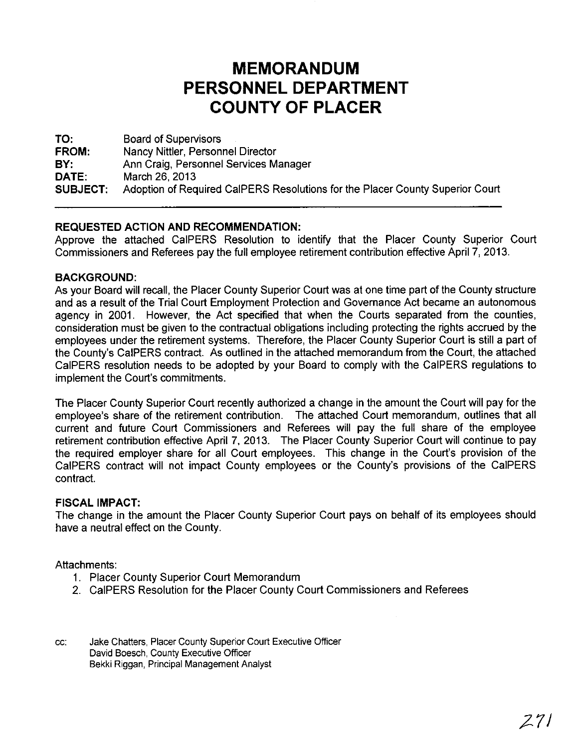# **MEMORANDUM** PERSONNEL DEPARTMENT **COUNTY OF PLACER**

**TO: FROM: BY: DATE: SUBJECT:** Board of Supervisors Nancy Nittler, Personnel Director Ann Craig, Personnel Services Manager March 26, 2013 Adoption of Required CalPERS Resolutions for the Placer County Superior Court

### **REQUESTED ACTION AND RECOMMENDATION:**

Approve the attached CalPERS Resolution to identify that the Placer County Superior Court Commissioners and Referees pay the full employee retirement contribution effective April 7, 2013.

#### **BACKGROUND:**

As your Board will recall, the Placer County Superior Court was at one time part of the County structure and as a result of the Trial Court Employment Protection and Governance Act became an autonomous agency in 2001. However, the Act specified that when the Courts separated from the counties, consideration must be given to the contractual obligations including protecting the rights accrued by the employees under the retirement systems. Therefore, the Placer County Superior Court is still a part of the County's CalPERS contract. As outlined in the attached memorandum from the Court, the attached CalPERS resolution needs to be adopted by your Board to comply with the CalPERS regulations to implement the Court's commitments.

The Placer County Superior Court recently authorized a change in the amount the Court will pay for the employee's share of the retirement contribution. The attached Court memorandum, outlines that all current and future Court Commissioners and Referees will pay the full share of the employee retirement contribution effective April 7, 2013. The Placer County Superior Court will continue to pay the required employer share for all Court employees. This change in the Court's provision of the CalPERS contract will not impact County employees or the County's provisions of the CalPERS contract.

#### **FISCAL IMPACT:**

The change in the amount the Placer County Superior Court pays on behalf of its employees should have a neutral effect on the County.

Attachments:

- 1. Placer County Superior Court Memorandum
- 2. CalPERS Resolution for the Placer County Court Commissioners and Referees
- cc: Jake Chatters, Placer County Superior Court Executive Officer David Boesch, County Executive Officer Bekki Riggan, Principal Management Analyst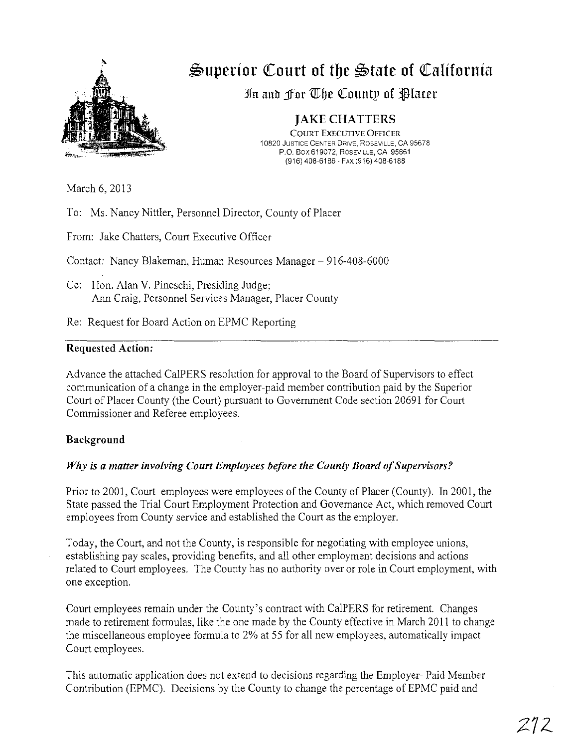

**\$>uperior «Court of toe \$>tate of «California**

In and For The County of Placer

## JAKE CHATTERS

COURT EXECUTIVE OFFICER 10820 JUSTICE CENTER DRIVE, ROSEVILLE, CA 95678 P.O. Box 619072, ROSEVILLE, CA 95661 (916) 408-6186 - FAX (916) 408-6188

March 6, 2013

To: Ms. Nancy Nittler, Personnel Director, County of Placer

From: Jake Chatters, Court Executive Officer

Contact: Nancy Blakeman, Human Resources Manager - 916-408-6000

Cc: Hon. Alan V. Pineschi, Presiding Judge; Ann Craig, Personnel Services Manager, Placer County

Re: Request for Board Action on EPMC Reporting

#### Requested Action:

Advance the attached CalPERS resolution for approval to the Board of Supervisors to effect communication of a change in the employer-paid member contribution paid by the Superior Court of Placer County (the Court) pursuant to Government Code section 20691 for Court Commissioner and Referee employees.

#### Background

### *Why is a matter involving Court Employees before the County Board ofSupervisors?*

Prior to 2001, Court employees were employees of the County of Placer (County). In 2001, the State passed the Trial Court Employment Protection and Governance Act, which removed Court employees from County service and established the Court as the employer.

Today, the Court, and not the County, is responsible for negotiating with employee unions, establishing pay scales, providing benefits, and all other employment decisions and actions related to Court employees. The County has no authority over or role in Court employment, with one exception.

Court employees remain under the County's contract with CalPERS for retirement. Changes made to retirement formulas, like the one made by the County effective in March 2011 to change the miscellaneous employee formula to 2% at 55 for all new employees, automatically impact Court employees.

This automatic application does not extend to decisions regarding the Employer- Paid Member Contribution (EPMC). Decisions by the County to change the percentage of EPMC paid and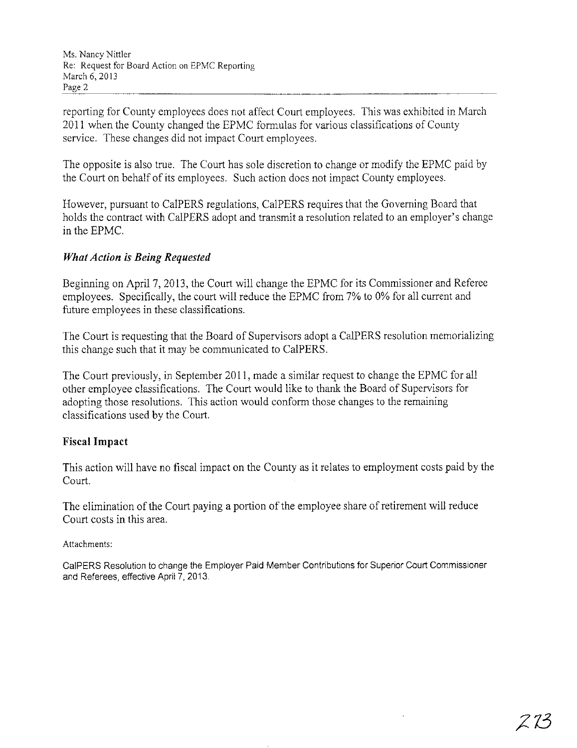reporting for County employees does not affect Court employees. This was exhibited in March 2011 when the County changed the EPMC formulas for various classifications of County service. These changes did not impact Court employees.

The opposite is also true. The Court has sole discretion to change or modify the EPMC paid by the Court on behalf of its employees. Such action does not impact County employees.

However, pursuant to CalPERS regulations, CalPERS requires that the Governing Board that holds the contract with CalPERS adopt and transmit a resolution related to an employer's change in the EPMC.

## *What Action is Being Requested*

Beginning on April 7, 2013, the Court will change the EPMC for its Commissioner and Referee employees. Specifically, the court will reduce the EPMC from 7% to 0% for all current and future employees in these classifications.

The Court is requesting that the Board of Supervisors adopt a CalPERS resolution memorializing this change such that it may be communicated to CalPERS.

The Court previously, in September 2011, made a similar request to change the EPMC for all other employee classifications. The Court would like to thank the Board of Supervisors for adopting those resolutions. This action would conform those changes to the remaining classifications used by the Court.

### **Fiscal Impact**

This action will have no fiscal impact on the County as it relates to employment costs paid by the Court.

The elimination of the Court paying a portion of the employee share of retirement will reduce Court costs in this area.

Attachments:

CalPERS Resolution to change the Employer Paid Member Contributions for Superior Court Commissioner and Referees, effective April?, 2013.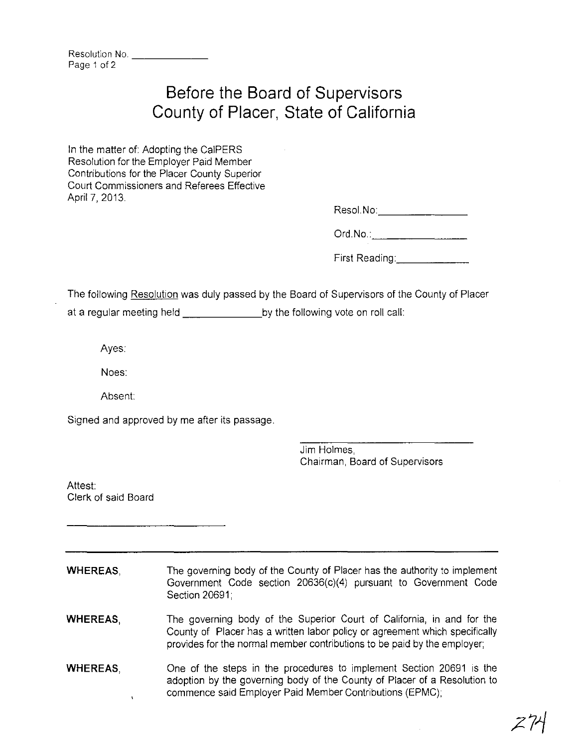| Resolution No. |  |
|----------------|--|
| Page 1 of 2    |  |

# **Before the Board of Supervisors County of Placer, State of California**

In the matter of: Adopting the CalPERS Resolution for the Employer Paid Member Contributions for the Placer County Superior Court Commissioners and Referees Effective April 7, 2013.

Resol.No:\_\_\_\_\_\_\_\_\_\_\_\_\_\_\_\_\_\_\_\_

Ord.No.: \_

First Reading: **William Reading:** 

The following Resolution was duly passed by the Board of Supervisors of the County of Placer at a regular meeting held by the following vote on roll call:

Ayes:

Noes:

Absent:

Signed and approved by me after its passage.

Jim Holmes, Chairman, Board of Supervisors

Attest: Clerk of said Board

**WHEREAS,** The governing body of the County of Placer has the authority to implement Government Code section 20636(c)(4) pursuant to Government Code Section 20691;

**WHEREAS,** The governing body of the Superior Court of California, **in** and for the County of Placer has a written labor policy or agreement which specifically provides for the normal member contributions to be paid by the employer;

One of the steps in the procedures to implement Section 20691 is the **WHEREAS,** adoption by the governing body of the County of Placer of a Resolution to commence said Employer Paid Member Contributions (EPMC); $\mathbf{I}$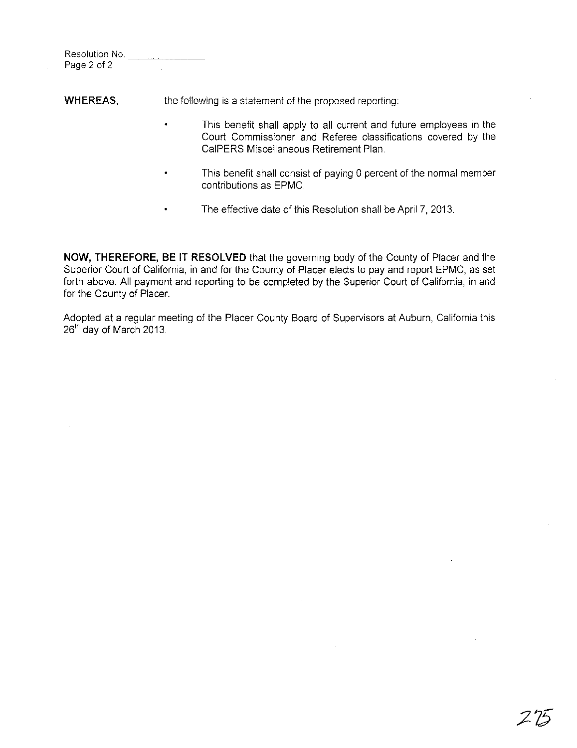| Resolution No. |  |  |
|----------------|--|--|
| Page 2 of 2    |  |  |

**WHEREAS,** the following is a statement of the proposed reporting:

- This benefit shall apply to all current and future employees in the Court Commissioner and Referee classifications covered by the CalPERS Miscellaneous Retirement Plan
- This benefit shall consist of paying 0 percent of the normal member contributions as EPMC.
- The effective date of this Resolution shall be April 7, 2013.

**NOW, THEREFORE, BE IT RESOLVED** that the governing body of the County of Placer and the Superior Court of California, in and for the County of Placer elects to pay and report EPMC, as set forth above. All payment and reporting to be completed by the Superior Court of California, in and for the County of Placer.

Adopted at a regular meeting of the Placer County Board of Supenvisors at Auburn, California this 26<sup>th</sup> day of March 2013.